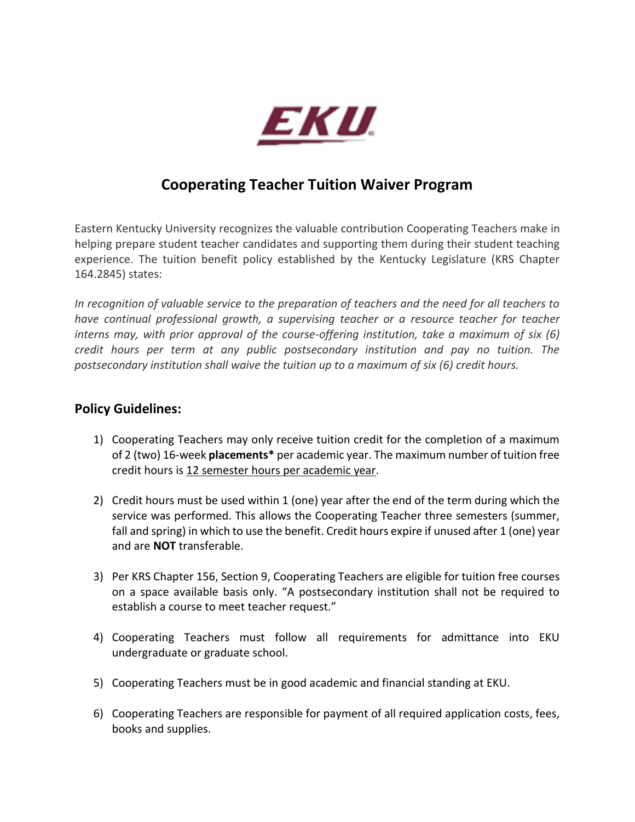

# **Cooperating Teacher Tuition Waiver Program**

Eastern Kentucky University recognizes the valuable contribution Cooperating Teachers make in helping prepare student teacher candidates and supporting them during their student teaching experience. The tuition benefit policy established by the Kentucky Legislature (KRS Chapter 164.2845) states:

*In recognition of valuable service to the preparation of teachers and the need for all teachers to have continual professional growth, a supervising teacher or a resource teacher for teacher interns may, with prior approval of the course-offering institution, take a maximum of six (6) credit hours per term at any public postsecondary institution and pay no tuition. The postsecondary institution shall waive the tuition up to a maximum of six (6) credit hours.*

#### **Policy Guidelines:**

- 1) Cooperating Teachers may only receive tuition credit for the completion of a maximum of 2 (two) 16-week **placements\*** per academic year. The maximum number of tuition free credit hours is 12 semester hours per academic year.
- 2) Credit hours must be used within 1 (one) year after the end of the term during which the service was performed. This allows the Cooperating Teacher three semesters (summer, fall and spring) in which to use the benefit. Credit hours expire if unused after 1 (one) year and are **NOT** transferable.
- 3) Per KRS Chapter 156, Section 9, Cooperating Teachers are eligible for tuition free courses on a space available basis only. "A postsecondary institution shall not be required to establish a course to meet teacher request."
- 4) Cooperating Teachers must follow all requirements for admittance into EKU undergraduate or graduate school.
- 5) Cooperating Teachers must be in good academic and financial standing at EKU.
- 6) Cooperating Teachers are responsible for payment of all required application costs, fees, books and supplies.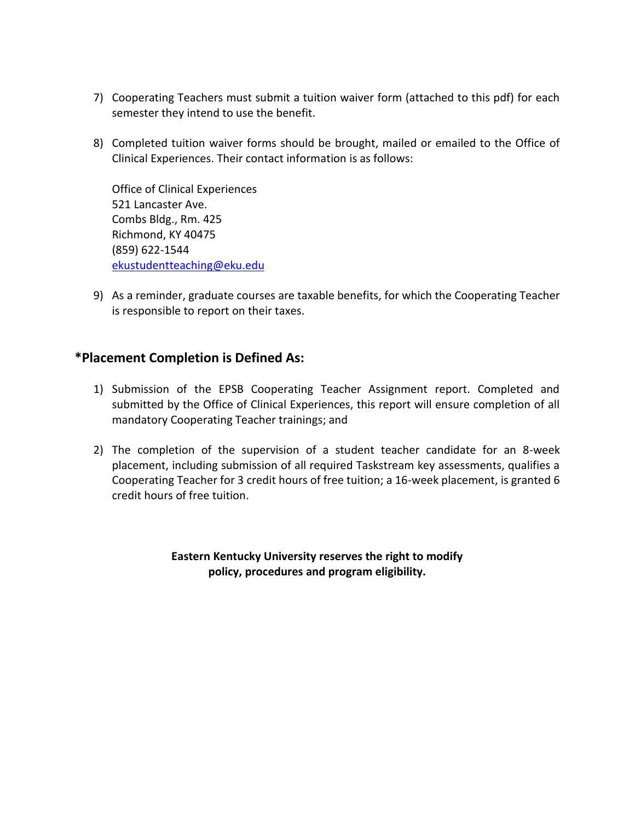- 7) Cooperating Teachers must submit a tuition waiver form (attached to this pdf) for each semester they intend to use the benefit.
- 8) Completed tuition waiver forms should be brought, mailed or emailed to the Office of Clinical Experiences. Their contact information is as follows:

Office of Clinical Experiences 521 Lancaster Ave. Combs Bldg., Rm. 425 Richmond, KY 40475 (859) 622-1544 [ekustudentteaching@eku.edu](mailto:ekustudentteaching@eku.edu)

9) As a reminder, graduate courses are taxable benefits, for which the Cooperating Teacher is responsible to report on their taxes.

## **\*Placement Completion is Defined As:**

- 1) Submission of the EPSB Cooperating Teacher Assignment report. Completed and submitted by the Office of Clinical Experiences, this report will ensure completion of all mandatory Cooperating Teacher trainings; and
- 2) The completion of the supervision of a student teacher candidate for an 8-week placement, including submission of all required Taskstream key assessments, qualifies a Cooperating Teacher for 3 credit hours of free tuition; a 16-week placement, is granted 6 credit hours of free tuition.

**Eastern Kentucky University reserves the right to modify policy, procedures and program eligibility.**